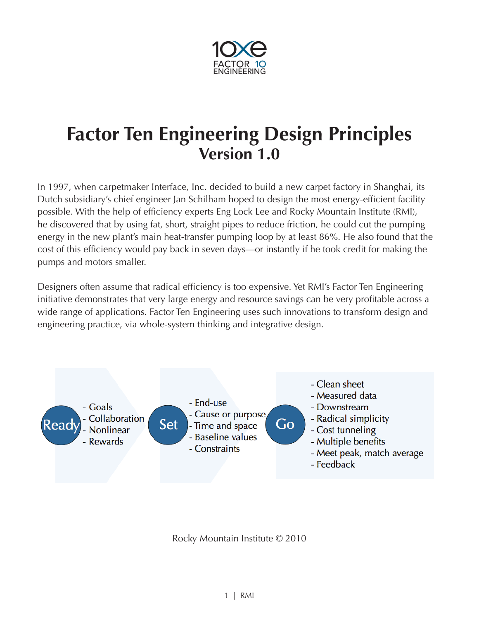

# **Factor Ten Engineering Design Principles Version 1.0**

In 1997, when carpetmaker Interface, Inc. decided to build a new carpet factory in Shanghai, its Dutch subsidiary's chief engineer Jan Schilham hoped to design the most energy-efficient facility possible. With the help of efficiency experts Eng Lock Lee and Rocky Mountain Institute (RMI), he discovered that by using fat, short, straight pipes to reduce friction, he could cut the pumping energy in the new plant's main heat-transfer pumping loop by at least 86%. He also found that the cost of this efficiency would pay back in seven days—or instantly if he took credit for making the pumps and motors smaller.

Designers often assume that radical efficiency is too expensive. Yet RMI's Factor Ten Engineering initiative demonstrates that very large energy and resource savings can be very profitable across a wide range of applications. Factor Ten Engineering uses such innovations to transform design and engineering practice, via whole-system thinking and integrative design.



Rocky Mountain Institute © 2010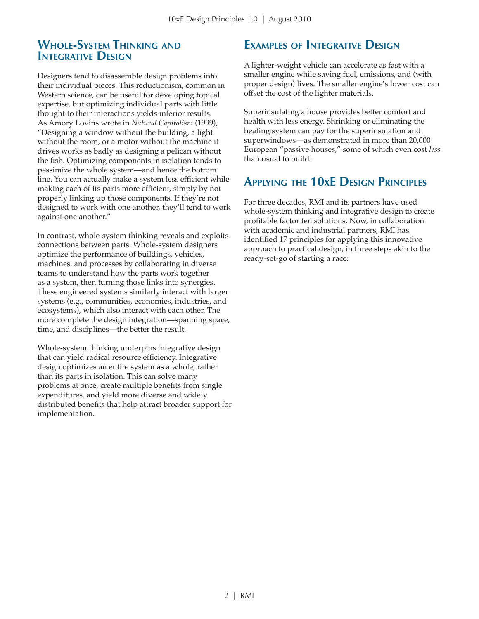#### **Whole-System Thinking and INTEGRATIVE DESIGN**

Designers tend to disassemble design problems into their individual pieces. This reductionism, common in Western science, can be useful for developing topical expertise, but optimizing individual parts with little thought to their interactions yields inferior results. As Amory Lovins wrote in *Natural Capitalism* (1999), "Designing a window without the building, a light without the room, or a motor without the machine it drives works as badly as designing a pelican without the fish. Optimizing components in isolation tends to pessimize the whole system—and hence the bottom line. You can actually make a system less efficient while making each of its parts more efficient, simply by not properly linking up those components. If they're not designed to work with one another, they'll tend to work against one another."

In contrast, whole-system thinking reveals and exploits connections between parts. Whole-system designers optimize the performance of buildings, vehicles, machines, and processes by collaborating in diverse teams to understand how the parts work together as a system, then turning those links into synergies. These engineered systems similarly interact with larger systems (e.g., communities, economies, industries, and ecosystems), which also interact with each other. The more complete the design integration—spanning space, time, and disciplines—the better the result.

Whole-system thinking underpins integrative design that can yield radical resource efficiency. Integrative design optimizes an entire system as a whole, rather than its parts in isolation. This can solve many problems at once, create multiple benefits from single expenditures, and yield more diverse and widely distributed benefits that help attract broader support for implementation.

# **Examples of Integrative Design**

A lighter-weight vehicle can accelerate as fast with a smaller engine while saving fuel, emissions, and (with proper design) lives. The smaller engine's lower cost can offset the cost of the lighter materials.

Superinsulating a house provides better comfort and health with less energy. Shrinking or eliminating the heating system can pay for the superinsulation and superwindows—as demonstrated in more than 20,000 European "passive houses," some of which even cost *less* than usual to build.

# **Applying the 10xE Design Principles**

For three decades, RMI and its partners have used whole-system thinking and integrative design to create profitable factor ten solutions. Now, in collaboration with academic and industrial partners, RMI has identified 17 principles for applying this innovative approach to practical design, in three steps akin to the ready-set-go of starting a race: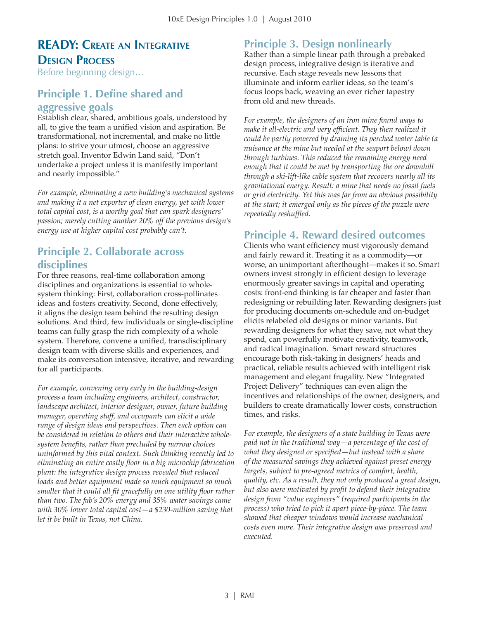## **READY: Create an Integrative Design Process**

Before beginning design…

## **Principle 1. Define shared and aggressive goals**

Establish clear, shared, ambitious goals, understood by all, to give the team a unified vision and aspiration. Be transformational, not incremental, and make no little plans: to strive your utmost, choose an aggressive stretch goal. Inventor Edwin Land said, "Don't undertake a project unless it is manifestly important and nearly impossible."

*For example, eliminating a new building's mechanical systems and making it a net exporter of clean energy, yet with lower total capital cost, is a worthy goal that can spark designers' passion; merely cutting another 20% off the previous design's energy use at higher capital cost probably can't.*

## **Principle 2. Collaborate across disciplines**

For three reasons, real-time collaboration among disciplines and organizations is essential to wholesystem thinking: First, collaboration cross-pollinates ideas and fosters creativity. Second, done effectively, it aligns the design team behind the resulting design solutions. And third, few individuals or single-discipline teams can fully grasp the rich complexity of a whole system. Therefore, convene a unified, transdisciplinary design team with diverse skills and experiences, and make its conversation intensive, iterative, and rewarding for all participants.

*For example, convening very early in the building-design process a team including engineers, architect, constructor, landscape architect, interior designer, owner, future building manager, operating staff, and occupants can elicit a wide range of design ideas and perspectives. Then each option can be considered in relation to others and their interactive wholesystem benefits, rather than precluded by narrow choices uninformed by this vital context. Such thinking recently led to eliminating an entire costly floor in a big microchip fabrication plant: the integrative design process revealed that reduced loads and better equipment made so much equipment so much smaller that it could all fit gracefully on one utility floor rather than two. The fab's 20% energy and 35% water savings came with 30% lower total capital cost—a \$230-million saving that let it be built in Texas, not China.*

## **Principle 3. Design nonlinearly**

Rather than a simple linear path through a prebaked design process, integrative design is iterative and recursive. Each stage reveals new lessons that illuminate and inform earlier ideas, so the team's focus loops back, weaving an ever richer tapestry from old and new threads.

*For example, the designers of an iron mine found ways to make it all-electric and very efficient. They then realized it could be partly powered by draining its perched water table (a nuisance at the mine but needed at the seaport below) down through turbines. This reduced the remaining energy need enough that it could be met by transporting the ore downhill through a ski-lift-like cable system that recovers nearly all its gravitational energy. Result: a mine that needs no fossil fuels or grid electricity. Yet this was far from an obvious possibility at the start; it emerged only as the pieces of the puzzle were repeatedly reshuffled.* 

### **Principle 4. Reward desired outcomes**

Clients who want efficiency must vigorously demand and fairly reward it. Treating it as a commodity—or worse, an unimportant afterthought—makes it so. Smart owners invest strongly in efficient design to leverage enormously greater savings in capital and operating costs: front-end thinking is far cheaper and faster than redesigning or rebuilding later. Rewarding designers just for producing documents on-schedule and on-budget elicits relabeled old designs or minor variants. But rewarding designers for what they save, not what they spend, can powerfully motivate creativity, teamwork, and radical imagination. Smart reward structures encourage both risk-taking in designers' heads and practical, reliable results achieved with intelligent risk management and elegant frugality. New "Integrated Project Delivery" techniques can even align the incentives and relationships of the owner, designers, and builders to create dramatically lower costs, construction times, and risks.

*For example, the designers of a state building in Texas were paid not in the traditional way—a percentage of the cost of what they designed or specified—but instead with a share of the measured savings they achieved against preset energy targets, subject to pre-agreed metrics of comfort, health, quality, etc. As a result, they not only produced a great design, but also were motivated by profit to defend their integrative design from "value engineers" (required participants in the process) who tried to pick it apart piece-by-piece. The team showed that cheaper windows would increase mechanical costs even more. Their integrative design was preserved and executed.*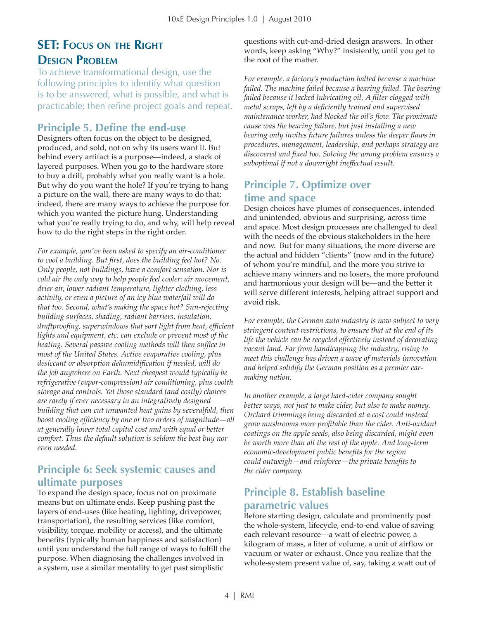# **SET: Focus on the Right Design Problem**

To achieve transformational design, use the following principles to identify what question is to be answered, what is possible, and what is practicable; then refine project goals and repeat.

## **Principle 5. Define the end-use**

Designers often focus on the object to be designed, produced, and sold, not on why its users want it. But behind every artifact is a purpose—indeed, a stack of layered purposes. When you go to the hardware store to buy a drill, probably what you really want is a hole. But why do you want the hole? If you're trying to hang a picture on the wall, there are many ways to do that; indeed, there are many ways to achieve the purpose for which you wanted the picture hung. Understanding what you're really trying to do, and why, will help reveal how to do the right steps in the right order.

*For example, you've been asked to specify an air-conditioner to cool a building. But first, does the building feel hot? No. Only people, not buildings, have a comfort sensation. Nor is cold air the only way to help people feel cooler: air movement, drier air, lower radiant temperature, lighter clothing, less activity, or even a picture of an icy blue waterfall will do that too. Second, what's making the space hot? Sun-rejecting building surfaces, shading, radiant barriers, insulation, draftproofing, superwindows that sort light from heat, efficient lights and equipment, etc. can exclude or prevent most of the heating. Several passive cooling methods will then suffice in most of the United States. Active evaporative cooling, plus desiccant or absorption dehumidification if needed, will do the job anywhere on Earth. Next cheapest would typically be refrigerative (vapor-compression) air conditioning, plus coolth storage and controls. Yet those standard (and costly) choices are rarely if ever necessary in an integratively designed building that can cut unwanted heat gains by severalfold, then boost cooling efficiency by one or two orders of magnitude—all at generally lower total capital cost and with equal or better comfort. Thus the default solution is seldom the best buy nor even needed.*

## **Principle 6: Seek systemic causes and ultimate purposes**

To expand the design space, focus not on proximate means but on ultimate ends. Keep pushing past the layers of end-uses (like heating, lighting, drivepower, transportation), the resulting services (like comfort, visibility, torque, mobility or access), and the ultimate benefits (typically human happiness and satisfaction) until you understand the full range of ways to fulfill the purpose. When diagnosing the challenges involved in a system, use a similar mentality to get past simplistic

questions with cut-and-dried design answers. In other words, keep asking "Why?" insistently, until you get to the root of the matter.

*For example, a factory's production halted because a machine failed. The machine failed because a bearing failed. The bearing failed because it lacked lubricating oil. A filter clogged with metal scraps, left by a deficiently trained and supervised maintenance worker, had blocked the oil's flow. The proximate cause was the bearing failure, but just installing a new bearing only invites future failures unless the deeper flaws in procedures, management, leadership, and perhaps strategy are discovered and fixed too. Solving the wrong problem ensures a suboptimal if not a downright ineffectual result.*

# **Principle 7. Optimize over time and space**

Design choices have plumes of consequences, intended and unintended, obvious and surprising, across time and space. Most design processes are challenged to deal with the needs of the obvious stakeholders in the here and now. But for many situations, the more diverse are the actual and hidden "clients" (now and in the future) of whom you're mindful, and the more you strive to achieve many winners and no losers, the more profound and harmonious your design will be—and the better it will serve different interests, helping attract support and avoid risk.

*For example, the German auto industry is now subject to very stringent content restrictions, to ensure that at the end of its life the vehicle can be recycled effectively instead of decorating vacant land. Far from handicapping the industry, rising to meet this challenge has driven a wave of materials innovation and helped solidify the German position as a premier carmaking nation.*

*In another example, a large hard-cider company sought better ways, not just to make cider, but also to make money. Orchard trimmings being discarded at a cost could instead grow mushrooms more profitable than the cider. Anti-oxidant coatings on the apple seeds, also being discarded, might even be worth more than all the rest of the apple. And long-term economic-development public benefits for the region could outweigh—and reinforce—the private benefits to the cider company.* 

# **Principle 8. Establish baseline parametric values**

Before starting design, calculate and prominently post the whole-system, lifecycle, end-to-end value of saving each relevant resource—a watt of electric power, a kilogram of mass, a liter of volume, a unit of airflow or vacuum or water or exhaust. Once you realize that the whole-system present value of, say, taking a watt out of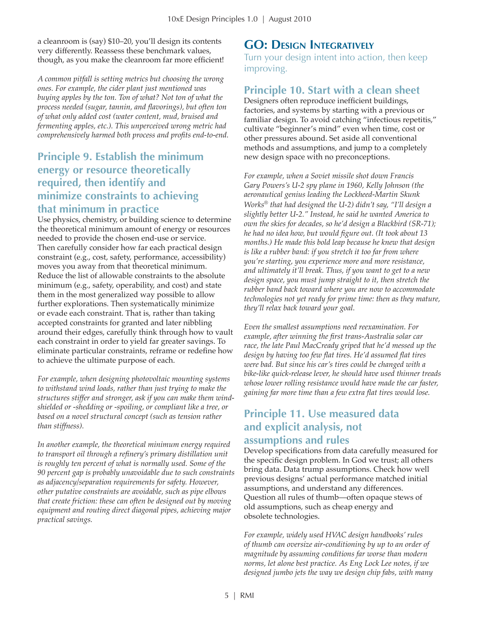a cleanroom is (say) \$10–20, you'll design its contents very differently. Reassess these benchmark values, though, as you make the cleanroom far more efficient!

*A common pitfall is setting metrics but choosing the wrong ones. For example, the cider plant just mentioned was buying apples by the ton. Ton of what? Not ton of what the process needed (sugar, tannin, and flavorings), but often ton of what only added cost (water content, mud, bruised and fermenting apples, etc.). This unperceived wrong metric had comprehensively harmed both process and profits end-to-end.*

## **Principle 9. Establish the minimum energy or resource theoretically required, then identify and minimize constraints to achieving that minimum in practice**

Use physics, chemistry, or building science to determine the theoretical minimum amount of energy or resources needed to provide the chosen end-use or service. Then carefully consider how far each practical design constraint (e.g., cost, safety, performance, accessibility) moves you away from that theoretical minimum. Reduce the list of allowable constraints to the absolute minimum (e.g., safety, operability, and cost) and state them in the most generalized way possible to allow further explorations. Then systematically minimize or evade each constraint. That is, rather than taking accepted constraints for granted and later nibbling around their edges, carefully think through how to vault each constraint in order to yield far greater savings. To eliminate particular constraints, reframe or redefine how to achieve the ultimate purpose of each.

*For example, when designing photovoltaic mounting systems to withstand wind loads, rather than just trying to make the structures stiffer and stronger, ask if you can make them windshielded or -shedding or -spoiling, or compliant like a tree, or based on a novel structural concept (such as tension rather than stiffness).*

*In another example, the theoretical minimum energy required to transport oil through a refinery's primary distillation unit is roughly ten percent of what is normally used. Some of the 90 percent gap is probably unavoidable due to such constraints as adjacency/separation requirements for safety. However, other putative constraints are avoidable, such as pipe elbows that create friction: these can often be designed out by moving equipment and routing direct diagonal pipes, achieving major practical savings.*

# **GO: Design Integratively**

Turn your design intent into action, then keep improving.

### **Principle 10. Start with a clean sheet**

Designers often reproduce inefficient buildings, factories, and systems by starting with a previous or familiar design. To avoid catching "infectious repetitis," cultivate "beginner's mind" even when time, cost or other pressures abound. Set aside all conventional methods and assumptions, and jump to a completely new design space with no preconceptions.

*For example, when a Soviet missile shot down Francis Gary Powers's U-2 spy plane in 1960, Kelly Johnson (the aeronautical genius leading the Lockheed-Martin Skunk Works® that had designed the U-2) didn't say, "I'll design a slightly better U-2." Instead, he said he wanted America to own the skies for decades, so he'd design a Blackbird (SR-71); he had no idea how, but would figure out. (It took about 13 months.) He made this bold leap because he knew that design is like a rubber band: if you stretch it too far from where you're starting, you experience more and more resistance, and ultimately it'll break. Thus, if you want to get to a new design space, you must jump straight to it, then stretch the rubber band back toward where you are now to accommodate technologies not yet ready for prime time: then as they mature, they'll relax back toward your goal.* 

*Even the smallest assumptions need reexamination. For example, after winning the first trans-Australia solar car race, the late Paul MacCready griped that he'd messed up the design by having too few flat tires. He'd assumed flat tires were bad. But since his car's tires could be changed with a bike-like quick-release lever, he should have used thinner treads whose lower rolling resistance would have made the car faster, gaining far more time than a few extra flat tires would lose.*

## **Principle 11. Use measured data and explicit analysis, not assumptions and rules**

Develop specifications from data carefully measured for the specific design problem. In God we trust; all others bring data. Data trump assumptions. Check how well previous designs' actual performance matched initial assumptions, and understand any differences. Question all rules of thumb—often opaque stews of old assumptions, such as cheap energy and obsolete technologies.

*For example, widely used HVAC design handbooks' rules of thumb can oversize air-conditioning by up to an order of magnitude by assuming conditions far worse than modern norms, let alone best practice. As Eng Lock Lee notes, if we designed jumbo jets the way we design chip fabs, with many*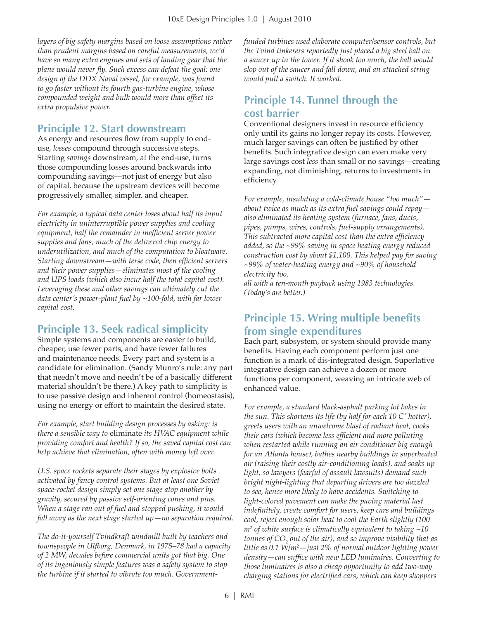*layers of big safety margins based on loose assumptions rather than prudent margins based on careful measurements, we'd have so many extra engines and sets of landing gear that the plane would never fly. Such excess can defeat the goal: one design of the DDX Naval vessel, for example, was found to go faster without its fourth gas-turbine engine, whose compounded weight and bulk would more than offset its extra propulsive power.*

## **Principle 12. Start downstream**

As energy and resources flow from supply to enduse, *losses* compound through successive steps. Starting *savings* downstream, at the end-use, turns those compounding losses around backwards into compounding savings—not just of energy but also of capital, because the upstream devices will become progressively smaller, simpler, and cheaper.

*For example, a typical data center loses about half its input electricity in uninterruptible power supplies and cooling equipment, half the remainder in inefficient server power supplies and fans, much of the delivered chip energy to underutilization, and much of the computation to bloatware. Starting downstream—with terse code, then efficient servers and their power supplies—eliminates most of the cooling and UPS loads (which also incur half the total capital cost). Leveraging these and other savings can ultimately cut the data center's power-plant fuel by ~100-fold, with far lower capital cost.*

# **Principle 13. Seek radical simplicity**

Simple systems and components are easier to build, cheaper, use fewer parts, and have fewer failures and maintenance needs. Every part and system is a candidate for elimination. (Sandy Munro's rule: any part that needn't move and needn't be of a basically different material shouldn't be there.) A key path to simplicity is to use passive design and inherent control (homeostasis), using no energy or effort to maintain the desired state.

*For example, start building design processes by asking: is there a sensible way to* eliminate *its HVAC equipment while providing comfort and health? If so, the saved capital cost can help achieve that elimination, often with money left over.*

*U.S. space rockets separate their stages by explosive bolts activated by fancy control systems. But at least one Soviet space-rocket design simply set one stage atop another by gravity, secured by passive self-orienting cones and pins. When a stage ran out of fuel and stopped pushing, it would fall away as the next stage started up—no separation required.*

*The do-it-yourself Tvindkraft windmill built by teachers and townspeople in Ulfborg, Denmark, in 1975–78 had a capacity of 2 MW, decades before commercial units got that big. One of its ingeniously simple features was a safety system to stop the turbine if it started to vibrate too much. Government-* *funded turbines used elaborate computer/sensor controls, but the Tvind tinkerers reportedly just placed a big steel ball on a saucer up in the tower. If it shook too much, the ball would slop out of the saucer and fall down, and an attached string would pull a switch. It worked.*

## **Principle 14. Tunnel through the cost barrier**

Conventional designers invest in resource efficiency only until its gains no longer repay its costs. However, much larger savings can often be justified by other benefits. Such integrative design can even make very large savings cost *less* than small or no savings—creating expanding, not diminishing, returns to investments in efficiency.

*For example, insulating a cold-climate house "too much" about twice as much as its extra fuel savings could repay also eliminated its heating system (furnace, fans, ducts, pipes, pumps, wires, controls, fuel-supply arrangements). This subtracted more capital cost than the extra efficiency added, so the ~99% saving in space heating energy reduced construction cost by about \$1,100. This helped pay for saving ~99% of water-heating energy and ~90% of household electricity too,* 

*all with a ten-month payback using 1983 technologies. (Today's are better.)*

### **Principle 15. Wring multiple benefits from single expenditures**

Each part, subsystem, or system should provide many benefits. Having each component perform just one function is a mark of dis-integrated design. Superlative integrative design can achieve a dozen or more functions per component, weaving an intricate web of enhanced value.

*For example, a standard black-asphalt parking lot bakes in the sun. This shortens its life (by half for each 10 C˚ hotter), greets users with an unwelcome blast of radiant heat, cooks their cars (which become less efficient and more polluting when restarted while running an air conditioner big enough for an Atlanta house), bathes nearby buildings in superheated air (raising their costly air-conditioning loads), and soaks up light, so lawyers (fearful of assault lawsuits) demand such bright night-lighting that departing drivers are too dazzled to see, hence more likely to have accidents. Switching to light-colored pavement can make the paving material last indefinitely, create comfort for users, keep cars and buildings cool, reject enough solar heat to cool the Earth slightly (100 m2 of white surface is climatically equivalent to taking ~10*  tonnes of CO<sub>2</sub> out of the air), and so improve visibility that as *little as 0.1 W/m2 —just 2% of normal outdoor lighting power density—can suffice with new LED luminaires. Converting to those luminaires is also a cheap opportunity to add two-way charging stations for electrified cars, which can keep shoppers*